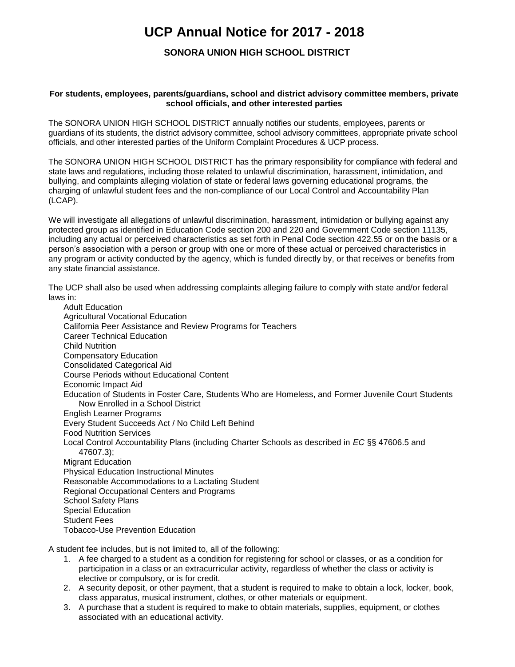## **UCP Annual Notice for 2017 - 2018**

## **SONORA UNION HIGH SCHOOL DISTRICT**

## **For students, employees, parents/guardians, school and district advisory committee members, private school officials, and other interested parties**

The SONORA UNION HIGH SCHOOL DISTRICT annually notifies our students, employees, parents or guardians of its students, the district advisory committee, school advisory committees, appropriate private school officials, and other interested parties of the Uniform Complaint Procedures & UCP process.

The SONORA UNION HIGH SCHOOL DISTRICT has the primary responsibility for compliance with federal and state laws and regulations, including those related to unlawful discrimination, harassment, intimidation, and bullying, and complaints alleging violation of state or federal laws governing educational programs, the charging of unlawful student fees and the non-compliance of our Local Control and Accountability Plan (LCAP).

We will investigate all allegations of unlawful discrimination, harassment, intimidation or bullying against any protected group as identified in Education Code section 200 and 220 and Government Code section 11135, including any actual or perceived characteristics as set forth in Penal Code section 422.55 or on the basis or a person's association with a person or group with one or more of these actual or perceived characteristics in any program or activity conducted by the agency, which is funded directly by, or that receives or benefits from any state financial assistance.

The UCP shall also be used when addressing complaints alleging failure to comply with state and/or federal laws in:

Adult Education Agricultural Vocational Education California Peer Assistance and Review Programs for Teachers Career Technical Education Child Nutrition Compensatory Education Consolidated Categorical Aid Course Periods without Educational Content Economic Impact Aid Education of Students in Foster Care, Students Who are Homeless, and Former Juvenile Court Students Now Enrolled in a School District English Learner Programs Every Student Succeeds Act / No Child Left Behind Food Nutrition Services Local Control Accountability Plans (including Charter Schools as described in *EC* §§ 47606.5 and 47607.3); Migrant Education Physical Education Instructional Minutes Reasonable Accommodations to a Lactating Student Regional Occupational Centers and Programs School Safety Plans Special Education Student Fees Tobacco-Use Prevention Education

A student fee includes, but is not limited to, all of the following:

- 1. A fee charged to a student as a condition for registering for school or classes, or as a condition for participation in a class or an extracurricular activity, regardless of whether the class or activity is elective or compulsory, or is for credit.
- 2. A security deposit, or other payment, that a student is required to make to obtain a lock, locker, book, class apparatus, musical instrument, clothes, or other materials or equipment.
- 3. A purchase that a student is required to make to obtain materials, supplies, equipment, or clothes associated with an educational activity.